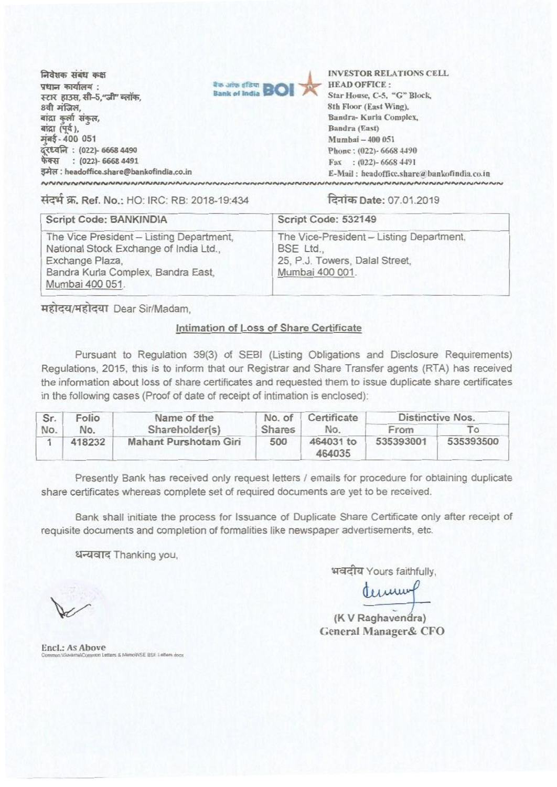निवेशक संबंध कक्ष  $y$ धान कार्यालय $\cdot$ FZR **F31,1, T11-5,"11" set gt,** 8वी मंजिल, बांद्रा कुर्ला संकुल,<br>बांद्रा (पर्व ), arat (#), **Sandra (East) F4-400 <sup>051</sup>Mumbai -400 051 k711711 : (022)- 6668 4490 Phone : (022)- 6668 4490 OFR : (022)- 6668 4491 Fax : (022)- 6668 4491 : headoffice.share@bankofindia.co.in E-Mail : headoffice.share:'&bankofintliacthin**  $\sim$ 



**INVESTOR RELATIONS CELL**  Star House, C-5, "G" Block, **8th Floor (East Wing), Sandra- Kurla Complex,** 

14-4.4w. **Ref. No.:** HO: IRC: RB: 2018-19:434 Date: 07.01.2019

| Script Code: BANKINDIA                                                                                                                                         | Script Code: 532149                                                                                        |  |  |
|----------------------------------------------------------------------------------------------------------------------------------------------------------------|------------------------------------------------------------------------------------------------------------|--|--|
| The Vice President - Listing Department,<br>National Stock Exchange of India Ltd.,<br>Exchange Plaza,<br>Bandra Kurla Complex, Bandra East,<br>Mumbai 400 051. | The Vice-President - Listing Department,<br>BSE Ltd.,<br>25, P.J. Towers, Dalal Street,<br>Mumbai 400 001. |  |  |

महोदय/महोदया Dear Sir/Madam,

## Intimation of **Loss of Share Certificate**

Pursuant to Regulation 39(3) of SEBI (Listing Obligations and Disclosure Requirements) Regulations, 2015, this is to inform that our Registrar and Share Transfer agents (RTA) has received the information about loss of share certificates and requested them to issue duplicate share certificates in the following cases (Proof of date of receipt of intimation is enclosed):

| Sr. | Folio  | Name of the           | No. of        | Certificate         | Distinctive Nos. |           |
|-----|--------|-----------------------|---------------|---------------------|------------------|-----------|
| No. | No.    | Shareholder(s)        | <b>Shares</b> | No.                 | From             |           |
|     | 418232 | Mahant Purshotam Giri | 500           | 464031 to<br>464035 | 535393001        | 535393500 |

Presently Bank has received only request letters / emails for procedure for obtaining duplicate share certificates whereas complete set of required documents are yet to be received.

Bank shall initiate the process for Issuance of Duplicate Share Certificate only after receipt of requisite documents and completion of formalities like newspaper advertisements, etc.

धन्यवाद Thanking you,

भवदीय Yours faithfully,

terum

(K **V Raghavendra) General Manager& CFO** 

**End.: As Above**  Cattery & Manylo CE RSE Lattare dxy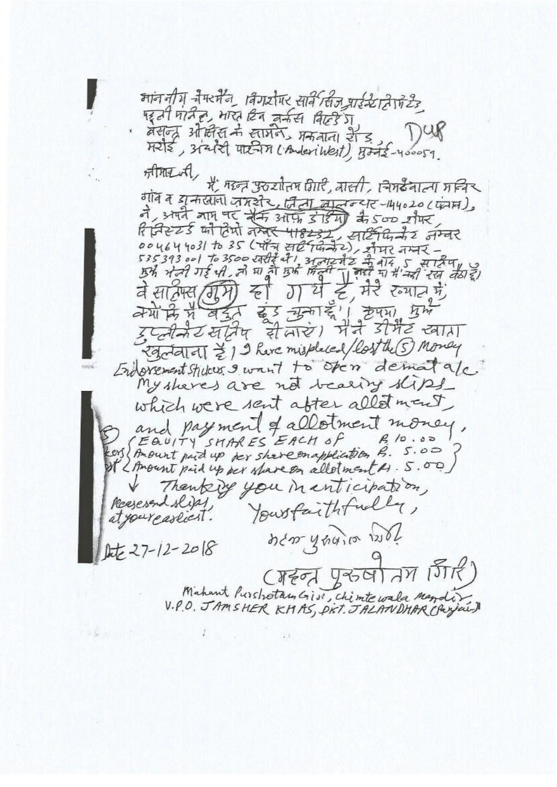माननीय नैम्स्मैन विगर्यपर सार्वे सिज पार्डस्टाहोपेरहे पहुंसी मोरी हो, भारत दिन जर्मस बिल्हे ग वसन्द्र औष्टीस के सामने मकबाना हैंड़ Hele, stated uneur (Anderikest), Bods-400059. Anne A में महन् उठरातिम विारी, बाली, सिमर्डेवाला मन्दिर गांव व यू नाखाना जमरीर, जिला लालुन्यार-144020(फेमम) ने, अपने माम पर सैर्म आफ़ डोडेगी के 500 शैमर, ये हैं, मेरे रुगात में, र्व सामस (ग्रीमे) ह्री  $J$ वेयों कि मैं बर्दुर बुड़ चुका है। हेपमा प्रभ मैने डेमिट खाता इप्लेकेटखर्विष सेलाएं। Egotal oll & 1 9 have misplaced (lost the 5) Monday Endorement studes I want to open dematale My sheres are not bearing slips which were sent after allot ment and payment of allotment money, It 2 Amount pid up per share on allotment M. S.O. Thenking you in enticipation, Reserved slips Your faithfully, new years wil  $kt = 27 - 12 - 2018$ (महन् पुरुषी तम जिरी) Mahant Purstrotan Gisi, chimte wala Mando? V.P.O. JAMSHER KHAS, PKT. JALANDHAR Chrysis)